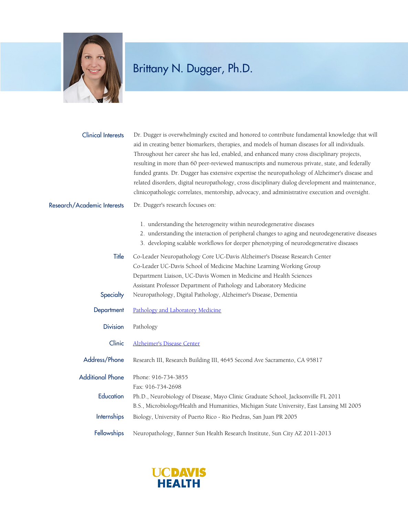

## Brittany N. Dugger, Ph.D.

Dr. Dugger is overwhelmingly excited and honored to contribute fundamental knowledge that will aid in creating better biomarkers, therapies, and models of human diseases for all individuals. Throughout her career she has led, enabled, and enhanced many cross disciplinary projects, resulting in more than 60 peer-reviewed manuscripts and numerous private, state, and federally funded grants. Dr. Dugger has extensive expertise the neuropathology of Alzheimer's disease and related disorders, digital neuropathology, cross disciplinary dialog development and maintenance, clinicopathologic correlates, mentorship, advocacy, and administrative execution and oversight. Clinical Interests

## Dr. Dugger's research focuses on: Research/Academic Interests

- 1. understanding the heterogeneity within neurodegenerative diseases
- 2. understanding the interaction of peripheral changes to aging and neurodegenerative diseases
- 3. developing scalable workflows for deeper phenotyping of neurodegenerative diseases

Title Co-Leader Neuropathology Core UC-Davis Alzheimer's Disease Research Center Co-Leader UC-Davis School of Medicine Machine Learning Working Group Department Liaison, UC-Davis Women in Medicine and Health Sciences Assistant Professor Department of Pathology and Laboratory Medicine Specialty Neuropathology, Digital Pathology, Alzheimer's Disease, Dementia

- Department [Pathology and Laboratory Medicine](https://www.ucdmc.ucdavis.edu/pathology/)
	- Division Pathology
	- Clinic [Alzheimer's Disease Center](https://health.ucdavis.edu/alzheimers)
- Address/Phone Research III, Research Building III, 4645 Second Ave Sacramento, CA 95817

Additional Phone Phone: 916-734-3855

- Fax: 916-734-2698 Education Ph.D., Neurobiology of Disease, Mayo Clinic Graduate School, Jacksonville FL 2011 B.S., Microbiology/Health and Humanities, Michigan State University, East Lansing MI 2005 Internships Biology, University of Puerto Rico - Rio Piedras, San Juan PR 2005
- Fellowships Neuropathology, Banner Sun Health Research Institute, Sun City AZ 2011-2013

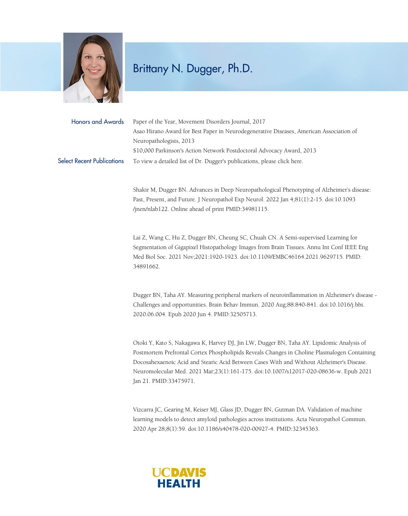

## Brittany N. Dugger, Ph.D.

| Honors and Awards                 | Paper of the Year, Movement Disorders Journal, 2017                                     |
|-----------------------------------|-----------------------------------------------------------------------------------------|
|                                   | Asao Hirano Award for Best Paper in Neurodegenerative Diseases, American Association of |
|                                   | Neuropathologists, 2013                                                                 |
|                                   | \$10,000 Parkinson's Action Network Postdoctoral Advocacy Award, 2013                   |
| <b>Select Recent Publications</b> | To view a detailed list of Dr. Dugger's publications, please click here.                |

Shakir M, Dugger BN. Advances in Deep Neuropathological Phenotyping of Alzheimer's disease: Past, Present, and Future. J Neuropathol Exp Neurol. 2022 Jan 4;81(1):2-15. doi:10.1093 /jnen/nlab122. Online ahead of print PMID:34981115.

Lai Z, Wang C, Hu Z, Dugger BN, Cheung SC, Chuah CN. A Semi-supervised Learning for Segmentation of Gigapixel Histopathology Images from Brain Tissues. Annu Int Conf IEEE Eng Med Biol Soc. 2021 Nov;2021:1920-1923. doi:10.1109/EMBC46164.2021.9629715. PMID: 34891662.

Dugger BN, Taha AY. Measuring peripheral markers of neuroinflammation in Alzheimer's disease - Challenges and opportunities. Brain Behav Immun. 2020 Aug;88:840-841. doi:10.1016/j.bbi. 2020.06.004. Epub 2020 Jun 4. PMID:32505713.

Otoki Y, Kato S, Nakagawa K, Harvey DJ, Jin LW, Dugger BN, Taha AY. Lipidomic Analysis of Postmortem Prefrontal Cortex Phospholipids Reveals Changes in Choline Plasmalogen Containing Docosahexaenoic Acid and Stearic Acid Between Cases With and Without Alzheimer's Disease. Neuromolecular Med. 2021 Mar;23(1):161-175. doi:10.1007/s12017-020-08636-w. Epub 2021 Jan 21. PMID:33475971.

Vizcarra JC, Gearing M, Keiser MJ, Glass JD, Dugger BN, Gutman DA. Validation of machine learning models to detect amyloid pathologies across institutions. Acta Neuropathol Commun. 2020 Apr 28;8(1):59. doi:10.1186/s40478-020-00927-4. PMID:32345363.